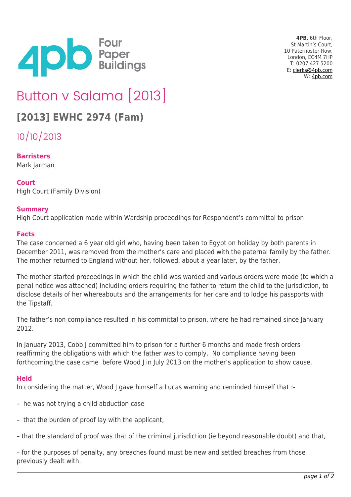

**4PB**, 6th Floor, St Martin's Court, 10 Paternoster Row, London, EC4M 7HP T: 0207 427 5200 E: [clerks@4pb.com](mailto:clerks@4pb.com) W: [4pb.com](http://4pb.com)

# Button v Salama [2013]

# **[2013] EWHC 2974 (Fam)**

10/10/2013

# **Barristers**

Mark Jarman

# **Court**

High Court (Family Division)

### **Summary**

High Court application made within Wardship proceedings for Respondent's committal to prison

### **Facts**

The case concerned a 6 year old girl who, having been taken to Egypt on holiday by both parents in December 2011, was removed from the mother's care and placed with the paternal family by the father. The mother returned to England without her, followed, about a year later, by the father.

The mother started proceedings in which the child was warded and various orders were made (to which a penal notice was attached) including orders requiring the father to return the child to the jurisdiction, to disclose details of her whereabouts and the arrangements for her care and to lodge his passports with the Tipstaff.

The father's non compliance resulted in his committal to prison, where he had remained since January 2012.

In January 2013, Cobb J committed him to prison for a further 6 months and made fresh orders reaffirming the obligations with which the father was to comply. No compliance having been forthcoming,the case came before Wood J in July 2013 on the mother's application to show cause.

### **Held**

In considering the matter, Wood I gave himself a Lucas warning and reminded himself that :-

- he was not trying a child abduction case
- that the burden of proof lay with the applicant,
- that the standard of proof was that of the criminal jurisdiction (ie beyond reasonable doubt) and that,

– for the purposes of penalty, any breaches found must be new and settled breaches from those previously dealt with.